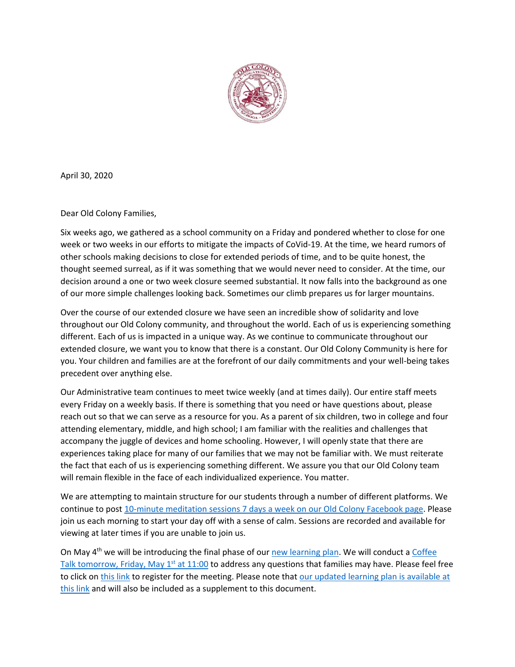

April 30, 2020

Dear Old Colony Families,

Six weeks ago, we gathered as a school community on a Friday and pondered whether to close for one week or two weeks in our efforts to mitigate the impacts of CoVid-19. At the time, we heard rumors of other schools making decisions to close for extended periods of time, and to be quite honest, the thought seemed surreal, as if it was something that we would never need to consider. At the time, our decision around a one or two week closure seemed substantial. It now falls into the background as one of our more simple challenges looking back. Sometimes our climb prepares us for larger mountains.

Over the course of our extended closure we have seen an incredible show of solidarity and love throughout our Old Colony community, and throughout the world. Each of us is experiencing something different. Each of us is impacted in a unique way. As we continue to communicate throughout our extended closure, we want you to know that there is a constant. Our Old Colony Community is here for you. Your children and families are at the forefront of our daily commitments and your well-being takes precedent over anything else.

Our Administrative team continues to meet twice weekly (and at times daily). Our entire staff meets every Friday on a weekly basis. If there is something that you need or have questions about, please reach out so that we can serve as a resource for you. As a parent of six children, two in college and four attending elementary, middle, and high school; I am familiar with the realities and challenges that accompany the juggle of devices and home schooling. However, I will openly state that there are experiences taking place for many of our families that we may not be familiar with. We must reiterate the fact that each of us is experiencing something different. We assure you that our Old Colony team will remain flexible in the face of each individualized experience. You matter.

We are attempting to maintain structure for our students through a number of different platforms. We continue to post [10-minute meditation sessions 7 days a week on our Old Colony Facebook page.](https://www.facebook.com/OldColonyRVTHS/) Please join us each morning to start your day off with a sense of calm. Sessions are recorded and available for viewing at later times if you are unable to join us.

On May  $4<sup>th</sup>$  we will be introducing the final phase of our [new learning plan.](https://docs.google.com/spreadsheets/d/1U6ChqGLyNvd6_Y7fe7EAejRZpLQ2ILohfEdLnxUaGOg/edit?usp=sharing) We will conduct a Coffee Talk tomorrow, Friday, May  $1<sup>st</sup>$  at 11:00 to address any questions that families may have. Please feel free to click on [this](https://us02web.zoom.us/meeting/register/tZEqc-yrrT4uGtdcZyLXyoTqcebXaZRwqJkD) link to register for the meeting. Please note that our updated learning plan is available at [this link](https://docs.google.com/spreadsheets/d/1U6ChqGLyNvd6_Y7fe7EAejRZpLQ2ILohfEdLnxUaGOg/edit?usp=sharing) and will also be included as a supplement to this document.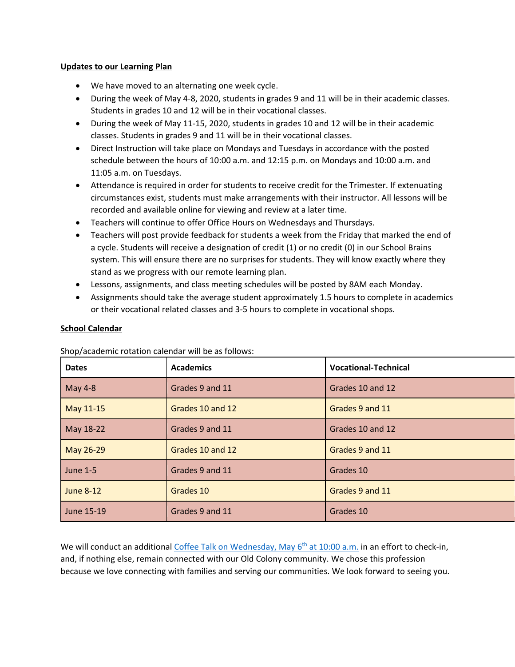## **Updates to our Learning Plan**

- We have moved to an alternating one week cycle.
- During the week of May 4-8, 2020, students in grades 9 and 11 will be in their academic classes. Students in grades 10 and 12 will be in their vocational classes.
- During the week of May 11-15, 2020, students in grades 10 and 12 will be in their academic classes. Students in grades 9 and 11 will be in their vocational classes.
- Direct Instruction will take place on Mondays and Tuesdays in accordance with the posted schedule between the hours of 10:00 a.m. and 12:15 p.m. on Mondays and 10:00 a.m. and 11:05 a.m. on Tuesdays.
- Attendance is required in order for students to receive credit for the Trimester. If extenuating circumstances exist, students must make arrangements with their instructor. All lessons will be recorded and available online for viewing and review at a later time.
- Teachers will continue to offer Office Hours on Wednesdays and Thursdays.
- Teachers will post provide feedback for students a week from the Friday that marked the end of a cycle. Students will receive a designation of credit (1) or no credit (0) in our School Brains system. This will ensure there are no surprises for students. They will know exactly where they stand as we progress with our remote learning plan.
- Lessons, assignments, and class meeting schedules will be posted by 8AM each Monday.
- Assignments should take the average student approximately 1.5 hours to complete in academics or their vocational related classes and 3-5 hours to complete in vocational shops.

## **School Calendar**

Shop/academic rotation calendar will be as follows:

| <b>Dates</b>     | <b>Academics</b> | <b>Vocational-Technical</b> |
|------------------|------------------|-----------------------------|
| May 4-8          | Grades 9 and 11  | Grades 10 and 12            |
| May 11-15        | Grades 10 and 12 | Grades 9 and 11             |
| May 18-22        | Grades 9 and 11  | Grades 10 and 12            |
| May 26-29        | Grades 10 and 12 | Grades 9 and 11             |
| <b>June 1-5</b>  | Grades 9 and 11  | Grades 10                   |
| <b>June 8-12</b> | Grades 10        | Grades 9 and 11             |
| June 15-19       | Grades 9 and 11  | Grades 10                   |

We will conduct an additional [Coffee Talk on Wednesday, May 6](https://us02web.zoom.us/meeting/register/tZIocu6sqDwoGdO_Xmd6Z4aWevt81VHPCa2q)<sup>th</sup> at 10:00 a.m. in an effort to check-in, and, if nothing else, remain connected with our Old Colony community. We chose this profession because we love connecting with families and serving our communities. We look forward to seeing you.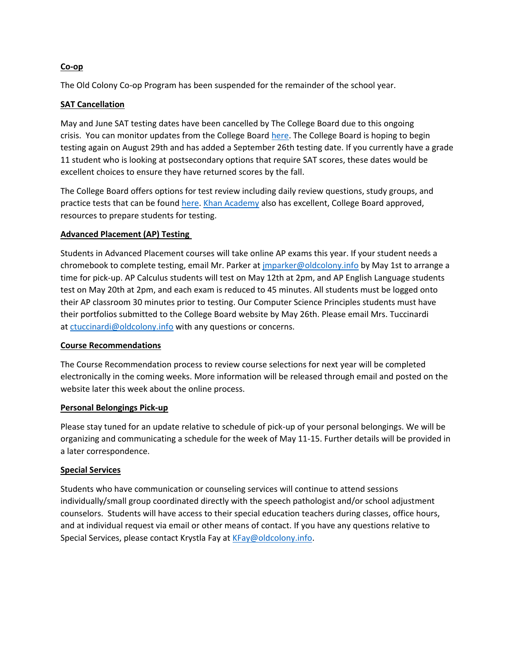## **Co-op**

The Old Colony Co-op Program has been suspended for the remainder of the school year.

## **SAT Cancellation**

May and June SAT testing dates have been cancelled by The College Board due to this ongoing crisis. You can monitor updates from the College Board [here.](https://pages.collegeboard.org/sat-covid-19-updates) The College Board is hoping to begin testing again on August 29th and has added a September 26th testing date. If you currently have a grade 11 student who is looking at postsecondary options that require SAT scores, these dates would be excellent choices to ensure they have returned scores by the fall.

The College Board offers options for test review including daily review questions, study groups, and practice tests that can be found [here.](https://collegereadiness.collegeboard.org/sat/practice) [Khan Academy](https://www.khanacademy.org/sat?utm_source=cbcta-osp&utm_medium=cb418-cb&utm_campaign=practice) also has excellent, College Board approved, resources to prepare students for testing.

## **Advanced Placement (AP) Testing**

Students in Advanced Placement courses will take online AP exams this year. If your student needs a chromebook to complete testing, email Mr. Parker at [jmparker@oldcolony.info](mailto:jmparker@oldcolony.info) by May 1st to arrange a time for pick-up. AP Calculus students will test on May 12th at 2pm, and AP English Language students test on May 20th at 2pm, and each exam is reduced to 45 minutes. All students must be logged onto their AP classroom 30 minutes prior to testing. Our Computer Science Principles students must have their portfolios submitted to the College Board website by May 26th. Please email Mrs. Tuccinardi at [ctuccinardi@oldcolony.info](mailto:ctuccinardi@oldcolony.info) with any questions or concerns.

## **Course Recommendations**

The Course Recommendation process to review course selections for next year will be completed electronically in the coming weeks. More information will be released through email and posted on the website later this week about the online process.

## **Personal Belongings Pick-up**

Please stay tuned for an update relative to schedule of pick-up of your personal belongings. We will be organizing and communicating a schedule for the week of May 11-15. Further details will be provided in a later correspondence.

# **Special Services**

Students who have communication or counseling services will continue to attend sessions individually/small group coordinated directly with the speech pathologist and/or school adjustment counselors. Students will have access to their special education teachers during classes, office hours, and at individual request via email or other means of contact. If you have any questions relative to Special Services, please contact Krystla Fay at [KFay@oldcolony.info.](mailto:KFay@oldcolony.info)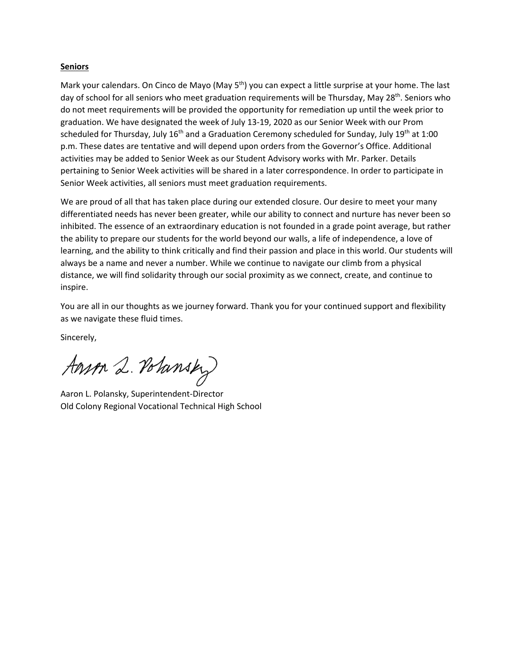#### **Seniors**

Mark your calendars. On Cinco de Mayo (May 5<sup>th</sup>) you can expect a little surprise at your home. The last day of school for all seniors who meet graduation requirements will be Thursday, May 28<sup>th</sup>. Seniors who do not meet requirements will be provided the opportunity for remediation up until the week prior to graduation. We have designated the week of July 13-19, 2020 as our Senior Week with our Prom scheduled for Thursday, July 16<sup>th</sup> and a Graduation Ceremony scheduled for Sunday, July 19<sup>th</sup> at 1:00 p.m. These dates are tentative and will depend upon orders from the Governor's Office. Additional activities may be added to Senior Week as our Student Advisory works with Mr. Parker. Details pertaining to Senior Week activities will be shared in a later correspondence. In order to participate in Senior Week activities, all seniors must meet graduation requirements.

We are proud of all that has taken place during our extended closure. Our desire to meet your many differentiated needs has never been greater, while our ability to connect and nurture has never been so inhibited. The essence of an extraordinary education is not founded in a grade point average, but rather the ability to prepare our students for the world beyond our walls, a life of independence, a love of learning, and the ability to think critically and find their passion and place in this world. Our students will always be a name and never a number. While we continue to navigate our climb from a physical distance, we will find solidarity through our social proximity as we connect, create, and continue to inspire.

You are all in our thoughts as we journey forward. Thank you for your continued support and flexibility as we navigate these fluid times.

Sincerely,

Anson 2. Polansky

Aaron L. Polansky, Superintendent-Director Old Colony Regional Vocational Technical High School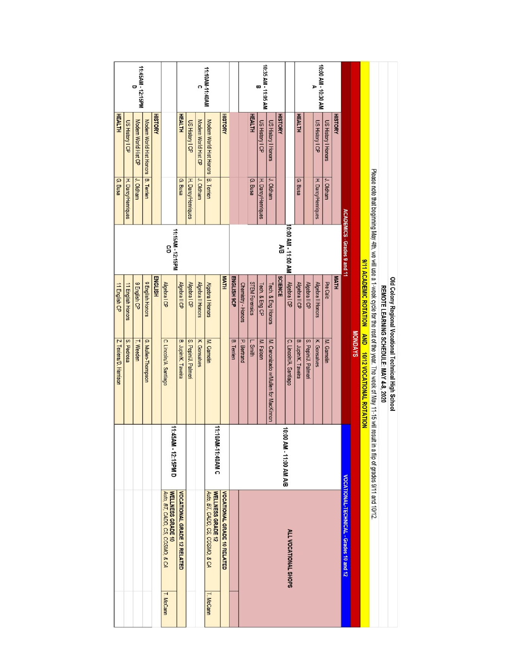|                        |                    | 11:45AM - 12:15PM    |                                     |                |                                                      |                             |                        |                          | 11:10AM-11:40AM                                      |                             |                   |                             |                       | 10:35 AM - 11:05 AM |                                      |                |                                 |                     |                     | 10:00 AM - 10:30 AM |                            |                |                                         |         |                                                      |                                                                                                                          |                                         |                                                      |
|------------------------|--------------------|----------------------|-------------------------------------|----------------|------------------------------------------------------|-----------------------------|------------------------|--------------------------|------------------------------------------------------|-----------------------------|-------------------|-----------------------------|-----------------------|---------------------|--------------------------------------|----------------|---------------------------------|---------------------|---------------------|---------------------|----------------------------|----------------|-----------------------------------------|---------|------------------------------------------------------|--------------------------------------------------------------------------------------------------------------------------|-----------------------------------------|------------------------------------------------------|
| <b>HEALTH</b>          | US History I CP    | Modern World Hist CP | Modern World Hist Honors B. Terrien | <b>HISTORY</b> |                                                      | <b>HEALTH</b>               | <b>US History I CP</b> | Modern World Hist CP     | Modern World Hist Honors   B. Terrien                | <b>HISTORY</b>              |                   |                             | <b>HEALTH</b>         | US History I CP     | US History I Honors                  | <b>HISTORY</b> |                                 | <b>HEALTH</b>       |                     | US History I CP     | <b>US History I Honors</b> | <b>HISTORY</b> |                                         |         |                                                      |                                                                                                                          |                                         |                                                      |
| G. Busa                | H. Darcy/Henriques | J. Oldham            |                                     |                |                                                      | G. Busa                     | H. Darcy/Henriques     | J. Oldham                |                                                      |                             |                   |                             | G. Busa               | H. Darcy/Henriques  | J. Oldham                            |                |                                 | G. Busa             |                     | H. Darcy/Henriques  | J. Oldham                  |                |                                         |         |                                                      |                                                                                                                          |                                         |                                                      |
|                        |                    |                      |                                     |                | 11:15AM - 12:15PM<br>S                               |                             |                        |                          |                                                      |                             |                   |                             |                       |                     |                                      | ΑB             | I0:00 AM - 11:00 AM             |                     |                     |                     |                            |                | <b>ACADEMICS - Grades 9 and 11</b>      |         |                                                      |                                                                                                                          |                                         |                                                      |
| 11 English CP          | 11 English Honors  | 9 English CP         | 9 English Honors                    | <b>ENGLISH</b> | Algebra I CP                                         | Algebra II CP               | Algebra I CP           | <b>Algebra II Honors</b> | Algebra I Honors                                     | <b>MATH</b>                 | ENGLISH 9CP       | Chemistry - Honors          | <b>STEM Forensics</b> | Tech. & Eng CP      | Tech. & Eng Honors                   | <b>SCIENCE</b> | Algebra I CP                    | Algebra II CP       | Algebra II CP       | Algebra II Honors   | Pre Calc                   | <b>MATH</b>    |                                         |         |                                                      |                                                                                                                          |                                         |                                                      |
| Z. Texiera/D. Harrison | S. Pedrosa         | T. Weeden            | G. Mullen-Thompson                  |                | C. Lincoln/A. Santiago                               | B. Jupin/K. Taveira         | S. Pepin/J. Palmeri    | K. Gonsalves             | M. Gamelin                                           |                             | <b>B.</b> Terrien | P. Bertrand                 | L. Smith              | M. Falcon           | M. Canonizado w/Mullen for MacKinnon |                | C. Lincoln/A. Santiago          | B. Jupin/K. Taveira | S. Pepin/J. Palmeri | K. Gonsalves        | M. Gamelin                 |                |                                         | MONDAYS | 9/11 ACADEMIC ROTATION AND 10/12 VOCATIONAL ROTATION | Please note that beginning May 4th, we will use a 1-week cycle for the rest of the year. The week of May 11-15 will rest | REMOTE LEARNING SCHEDULE: MAY 4-8, 2020 | Old Colony Regional Vocational Technical High School |
|                        |                    |                      |                                     |                | 11:45AM - 12:15PM D                                  |                             |                        |                          | 11:10AM-11:40AM C                                    |                             |                   |                             |                       |                     |                                      |                | 10:00<br><b>BIA MA 00:11-MA</b> |                     |                     |                     |                            |                |                                         |         |                                                      | It in a flip of grades 9/11 and 10/12.                                                                                   |                                         |                                                      |
|                        |                    |                      |                                     |                | Auto, BT, CADD, CS, COSMO, & CA<br>WELLNESS GRADE 10 | VOCATIONAL GRADE 12 RELATED |                        |                          | Auto, BT, CADD, CS, COSMO, & CA<br>WELLNESS GRADE 12 | VOCATIONAL GRADE 10 RELATED |                   | <b>ALL VOCATIONAL SHOPS</b> |                       |                     |                                      |                |                                 |                     |                     |                     |                            |                | VOCATIONAL-TECHNICAL - Grades 10 and 12 |         |                                                      |                                                                                                                          |                                         |                                                      |
|                        |                    |                      |                                     |                | T. McCann                                            |                             |                        |                          | T. McCann                                            |                             |                   |                             |                       |                     |                                      |                |                                 |                     |                     |                     |                            |                |                                         |         |                                                      |                                                                                                                          |                                         |                                                      |